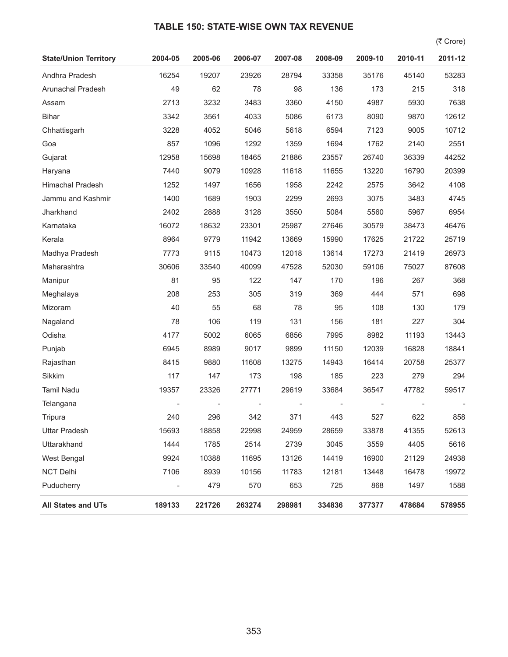## **TABLE 150: STATE-WISE OWN TAX REVENUE**

 $($ ₹ Crore)

| <b>State/Union Territory</b> | 2004-05                  | 2005-06 | 2006-07 | 2007-08 | 2008-09 | 2009-10 | 2010-11 | 2011-12 |
|------------------------------|--------------------------|---------|---------|---------|---------|---------|---------|---------|
| Andhra Pradesh               | 16254                    | 19207   | 23926   | 28794   | 33358   | 35176   | 45140   | 53283   |
| Arunachal Pradesh            | 49                       | 62      | 78      | 98      | 136     | 173     | 215     | 318     |
| Assam                        | 2713                     | 3232    | 3483    | 3360    | 4150    | 4987    | 5930    | 7638    |
| <b>Bihar</b>                 | 3342                     | 3561    | 4033    | 5086    | 6173    | 8090    | 9870    | 12612   |
| Chhattisgarh                 | 3228                     | 4052    | 5046    | 5618    | 6594    | 7123    | 9005    | 10712   |
| Goa                          | 857                      | 1096    | 1292    | 1359    | 1694    | 1762    | 2140    | 2551    |
| Gujarat                      | 12958                    | 15698   | 18465   | 21886   | 23557   | 26740   | 36339   | 44252   |
| Haryana                      | 7440                     | 9079    | 10928   | 11618   | 11655   | 13220   | 16790   | 20399   |
| <b>Himachal Pradesh</b>      | 1252                     | 1497    | 1656    | 1958    | 2242    | 2575    | 3642    | 4108    |
| Jammu and Kashmir            | 1400                     | 1689    | 1903    | 2299    | 2693    | 3075    | 3483    | 4745    |
| Jharkhand                    | 2402                     | 2888    | 3128    | 3550    | 5084    | 5560    | 5967    | 6954    |
| Karnataka                    | 16072                    | 18632   | 23301   | 25987   | 27646   | 30579   | 38473   | 46476   |
| Kerala                       | 8964                     | 9779    | 11942   | 13669   | 15990   | 17625   | 21722   | 25719   |
| Madhya Pradesh               | 7773                     | 9115    | 10473   | 12018   | 13614   | 17273   | 21419   | 26973   |
| Maharashtra                  | 30606                    | 33540   | 40099   | 47528   | 52030   | 59106   | 75027   | 87608   |
| Manipur                      | 81                       | 95      | 122     | 147     | 170     | 196     | 267     | 368     |
| Meghalaya                    | 208                      | 253     | 305     | 319     | 369     | 444     | 571     | 698     |
| Mizoram                      | 40                       | 55      | 68      | 78      | 95      | 108     | 130     | 179     |
| Nagaland                     | 78                       | 106     | 119     | 131     | 156     | 181     | 227     | 304     |
| Odisha                       | 4177                     | 5002    | 6065    | 6856    | 7995    | 8982    | 11193   | 13443   |
| Punjab                       | 6945                     | 8989    | 9017    | 9899    | 11150   | 12039   | 16828   | 18841   |
| Rajasthan                    | 8415                     | 9880    | 11608   | 13275   | 14943   | 16414   | 20758   | 25377   |
| Sikkim                       | 117                      | 147     | 173     | 198     | 185     | 223     | 279     | 294     |
| <b>Tamil Nadu</b>            | 19357                    | 23326   | 27771   | 29619   | 33684   | 36547   | 47782   | 59517   |
| Telangana                    |                          |         |         |         |         |         |         |         |
| Tripura                      | 240                      | 296     | 342     | 371     | 443     | 527     | 622     | 858     |
| <b>Uttar Pradesh</b>         | 15693                    | 18858   | 22998   | 24959   | 28659   | 33878   | 41355   | 52613   |
| Uttarakhand                  | 1444                     | 1785    | 2514    | 2739    | 3045    | 3559    | 4405    | 5616    |
| West Bengal                  | 9924                     | 10388   | 11695   | 13126   | 14419   | 16900   | 21129   | 24938   |
| <b>NCT Delhi</b>             | 7106                     | 8939    | 10156   | 11783   | 12181   | 13448   | 16478   | 19972   |
| Puducherry                   | $\overline{\phantom{a}}$ | 479     | 570     | 653     | 725     | 868     | 1497    | 1588    |
| <b>All States and UTs</b>    | 189133                   | 221726  | 263274  | 298981  | 334836  | 377377  | 478684  | 578955  |